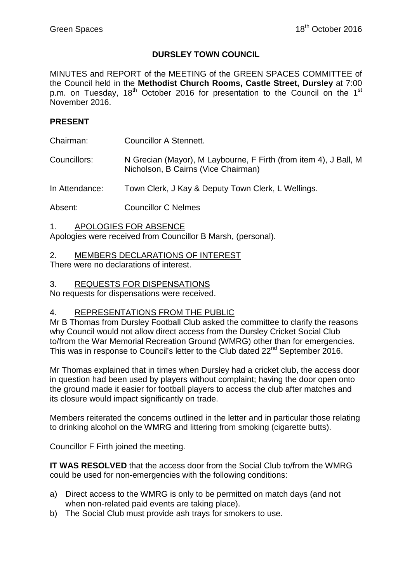## **DURSLEY TOWN COUNCIL**

MINUTES and REPORT of the MEETING of the GREEN SPACES COMMITTEE of the Council held in the **Methodist Church Rooms, Castle Street, Dursley** at 7:00 p.m. on Tuesday,  $18<sup>th</sup>$  October 2016 for presentation to the Council on the  $1<sup>st</sup>$ November 2016.

#### **PRESENT**

Chairman: Councillor A Stennett.

Councillors: N Grecian (Mayor), M Laybourne, F Firth (from item 4), J Ball, M Nicholson, B Cairns (Vice Chairman)

In Attendance: Town Clerk, J Kay & Deputy Town Clerk, L Wellings.

Absent: Councillor C Nelmes

1. APOLOGIES FOR ABSENCE

Apologies were received from Councillor B Marsh, (personal).

#### 2. MEMBERS DECLARATIONS OF INTEREST

There were no declarations of interest.

#### 3. REQUESTS FOR DISPENSATIONS

No requests for dispensations were received.

## 4. REPRESENTATIONS FROM THE PUBLIC

Mr B Thomas from Dursley Football Club asked the committee to clarify the reasons why Council would not allow direct access from the Dursley Cricket Social Club to/from the War Memorial Recreation Ground (WMRG) other than for emergencies. This was in response to Council's letter to the Club dated  $22^{nd}$  September 2016.

Mr Thomas explained that in times when Dursley had a cricket club, the access door in question had been used by players without complaint; having the door open onto the ground made it easier for football players to access the club after matches and its closure would impact significantly on trade.

Members reiterated the concerns outlined in the letter and in particular those relating to drinking alcohol on the WMRG and littering from smoking (cigarette butts).

Councillor F Firth joined the meeting.

**IT WAS RESOLVED** that the access door from the Social Club to/from the WMRG could be used for non-emergencies with the following conditions:

- a) Direct access to the WMRG is only to be permitted on match days (and not when non-related paid events are taking place).
- b) The Social Club must provide ash trays for smokers to use.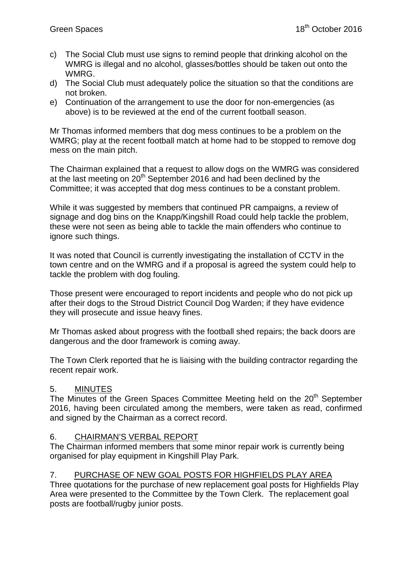- c) The Social Club must use signs to remind people that drinking alcohol on the WMRG is illegal and no alcohol, glasses/bottles should be taken out onto the WMRG.
- d) The Social Club must adequately police the situation so that the conditions are not broken.
- e) Continuation of the arrangement to use the door for non-emergencies (as above) is to be reviewed at the end of the current football season.

Mr Thomas informed members that dog mess continues to be a problem on the WMRG; play at the recent football match at home had to be stopped to remove dog mess on the main pitch.

The Chairman explained that a request to allow dogs on the WMRG was considered at the last meeting on  $20<sup>th</sup>$  September 2016 and had been declined by the Committee; it was accepted that dog mess continues to be a constant problem.

While it was suggested by members that continued PR campaigns, a review of signage and dog bins on the Knapp/Kingshill Road could help tackle the problem, these were not seen as being able to tackle the main offenders who continue to ignore such things.

It was noted that Council is currently investigating the installation of CCTV in the town centre and on the WMRG and if a proposal is agreed the system could help to tackle the problem with dog fouling.

Those present were encouraged to report incidents and people who do not pick up after their dogs to the Stroud District Council Dog Warden; if they have evidence they will prosecute and issue heavy fines.

Mr Thomas asked about progress with the football shed repairs; the back doors are dangerous and the door framework is coming away.

The Town Clerk reported that he is liaising with the building contractor regarding the recent repair work.

# 5. MINUTES

The Minutes of the Green Spaces Committee Meeting held on the 20<sup>th</sup> September 2016, having been circulated among the members, were taken as read, confirmed and signed by the Chairman as a correct record.

## 6. CHAIRMAN'S VERBAL REPORT

The Chairman informed members that some minor repair work is currently being organised for play equipment in Kingshill Play Park.

## 7. PURCHASE OF NEW GOAL POSTS FOR HIGHFIELDS PLAY AREA

Three quotations for the purchase of new replacement goal posts for Highfields Play Area were presented to the Committee by the Town Clerk. The replacement goal posts are football/rugby junior posts.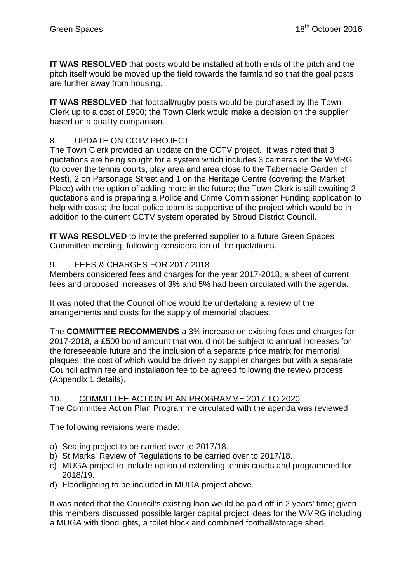**IT WAS RESOLVED** that posts would be installed at both ends of the pitch and the pitch itself would be moved up the field towards the farmland so that the goal posts are further away from housing.

**IT WAS RESOLVED** that football/rugby posts would be purchased by the Town Clerk up to a cost of £900; the Town Clerk would make a decision on the supplier based on a quality comparison.

# 8. UPDATE ON CCTV PROJECT

The Town Clerk provided an update on the CCTV project. It was noted that 3 quotations are being sought for a system which includes 3 cameras on the WMRG (to cover the tennis courts, play area and area close to the Tabernacle Garden of Rest), 2 on Parsonage Street and 1 on the Heritage Centre (covering the Market Place) with the option of adding more in the future; the Town Clerk is still awaiting 2 quotations and is preparing a Police and Crime Commissioner Funding application to help with costs; the local police team is supportive of the project which would be in addition to the current CCTV system operated by Stroud District Council.

**IT WAS RESOLVED** to invite the preferred supplier to a future Green Spaces Committee meeting, following consideration of the quotations.

## 9. FEES & CHARGES FOR 2017-2018

Members considered fees and charges for the year 2017-2018, a sheet of current fees and proposed increases of 3% and 5% had been circulated with the agenda.

It was noted that the Council office would be undertaking a review of the arrangements and costs for the supply of memorial plaques.

The **COMMITTEE RECOMMENDS** a 3% increase on existing fees and charges for 2017-2018, a £500 bond amount that would not be subject to annual increases for the foreseeable future and the inclusion of a separate price matrix for memorial plaques; the cost of which would be driven by supplier charges but with a separate Council admin fee and installation fee to be agreed following the review process (Appendix 1 details).

## 10. COMMITTEE ACTION PLAN PROGRAMME 2017 TO 2020

The Committee Action Plan Programme circulated with the agenda was reviewed.

The following revisions were made:

- a) Seating project to be carried over to 2017/18.
- b) St Marks' Review of Regulations to be carried over to 2017/18.
- c) MUGA project to include option of extending tennis courts and programmed for 2018/19.
- d) Floodlighting to be included in MUGA project above.

It was noted that the Council's existing loan would be paid off in 2 years' time; given this members discussed possible larger capital project ideas for the WMRG including a MUGA with floodlights, a toilet block and combined football/storage shed.